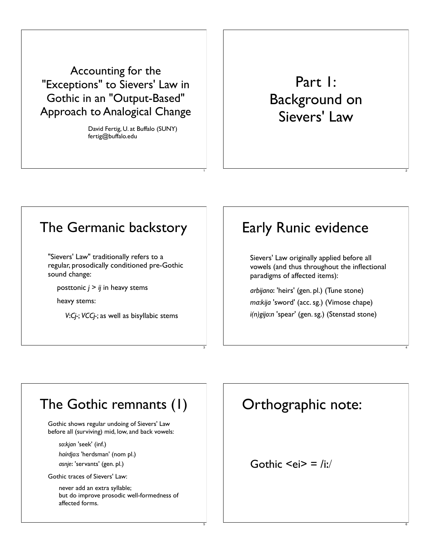Accounting for the "Exceptions" to Sievers' Law in Gothic in an "Output-Based" Approach to Analogical Change

> David Fertig, U. at Buffalo (SUNY) fertig@buffalo.edu

> > 1

3

5

# Part 1: Background on Sievers' Law

2

4

6

## The Germanic backstory

"Sievers' Law" traditionally refers to a regular, prosodically conditioned pre-Gothic sound change:

posttonic  $j > ij$  in heavy stems

heavy stems:

*V*!*Cj-*; *VCCj-*; as well as bisyllabic stems

# Early Runic evidence

Sievers' Law originally applied before all vowels (and thus throughout the inflectional paradigms of affected items):

*arbijano*! 'heirs' (gen. pl.) (Tune stone) *ma*!*kija* 'sword' (acc. sg.) (Vimose chape) *i(n)gijo*!*n* 'spear' (gen. sg.) (Stenstad stone)

## The Gothic remnants (1)

Gothic shows regular undoing of Sievers' Law before all (surviving) mid, low, and back vowels:

*so*!*kjan* 'seek' (inf.)

*haírdjo*!*s* 'herdsman' (nom pl.)

*asnje*! 'servants' (gen. pl.)

Gothic traces of Sievers' Law:

never add an extra syllable; but do improve prosodic well-formedness of affected forms.

# Orthographic note:

Gothic  $\leq e$ i $>$  = /i:/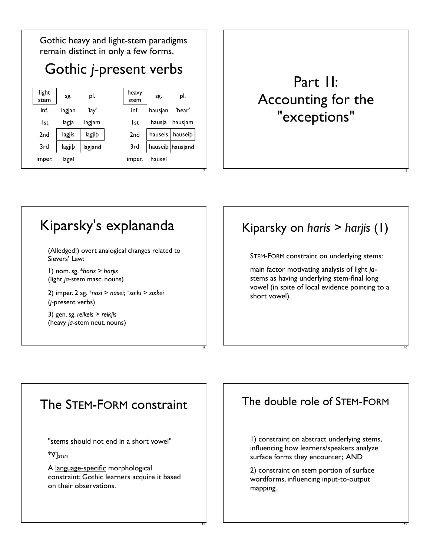

# Part 1I: Accounting for the "exceptions"

# Kiparsky's explananda

(Alledged!) overt analogical changes related to Sievers' Law:

1) nom. sg. \**haris* > *harjis* (light *ja*-stem masc. nouns)

2) imper. 2 sg. \**nasi* > *nasei*; \**so*!*ki* > *so*!*kei* (*j*-present verbs)

3) gen. sg. *reikeis* > *reikjis* (heavy *ja*-stem neut. nouns)

## Kiparsky on *haris* > *harjis* (1)

8

10

12

STEM-FORM constraint on underlying stems:

main factor motivating analysis of light *ja*stems as having underlying stem-final long vowel (in spite of local evidence pointing to a short vowel).

### The STEM-FORM constraint

9

11

"stems should not end in a short vowel"

 $*$ V $]$ stem

A language-specific morphological constraint; Gothic learners acquire it based on their observations.

### The double role of STEM-FORM

1) constraint on abstract underlying stems, influencing how learners/speakers analyze surface forms they encounter; AND

2) constraint on stem portion of surface wordforms, influencing input-to-output mapping.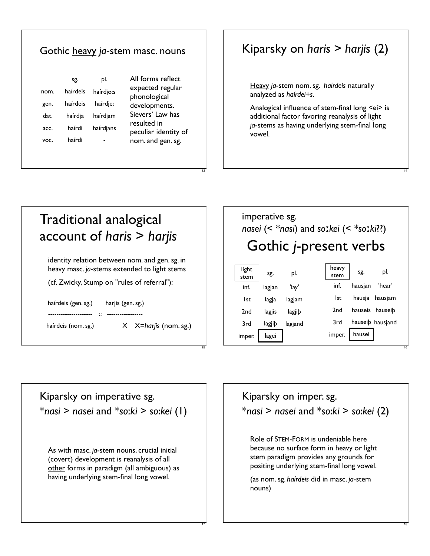|      |                 |                  | Gothic heavy ja-stem masc. nouns      |
|------|-----------------|------------------|---------------------------------------|
| nom. | Sg.<br>haírdeis | pl.<br>haírdio:s | All forms reflect<br>expected regular |
| gen. | haírdeis        | haírdje:         | phonological                          |
| dat. | haírdja         | haírdjam         | developments.<br>Sievers' Law has     |
| acc. | haírdi          | haírdjans        | resulted in<br>peculiar identity of   |
| VOC. | haírdi          |                  | nom. and gen. sg.                     |

## Kiparsky on *haris* > *harjis* (2)

Heavy *ja*-stem nom. sg. *haírdeis* naturally analyzed as *haírdei+s*.

Analogical influence of stem-final long <ei> is additional factor favoring reanalysis of light *ja*-stems as having underlying stem-final long vowel.

14

18

| Traditional analogical<br>$account$ of haris $>$ harjis                                                                                       |
|-----------------------------------------------------------------------------------------------------------------------------------------------|
| identity relation between nom. and gen. sg. in<br>heavy masc. ja-stems extended to light stems<br>(cf. Zwicky, Stump on "rules of referral"): |
| haírdeis (gen. sg.)<br>harjis (gen. sg.)                                                                                                      |
| $X$ $X =$ <i>harjis</i> (nom. sg.)<br>haírdeis (nom. sg.)                                                                                     |

13

15

17

#### imperative sg. *nasei* (< *\*nasi*) and *so*!*kei* (< *\*so*!*ki*??) light  $\begin{vmatrix} \text{sign} \\ \text{sign} \end{vmatrix}$  sg. pl. inf. lagjan 'lay' 1st lagja lagjam 2nd lagjis lagjib 3rd lagjib lagjand imper. | lagei heavy  $\begin{array}{c|c}\n\text{se.} \\
\text{stem} \\
\end{array}$  sg. pl. inf. hausjan 'hear' 1st hausja hausjam 2nd hauseis hauseib 3rd hauseib hausjand imper. hausei Gothic *j*-present verbs 16

Kiparsky on imperative sg. \**nasi* > *nasei* and \**so*!*ki* > *so*!*kei* (1)

As with masc. *ja*-stem nouns, crucial initial (covert) development is reanalysis of all other forms in paradigm (all ambiguous) as having underlying stem-final long vowel.

Kiparsky on imper. sg. \**nasi* > *nasei* and \**so*!*ki* > *so*!*kei* (2)

Role of STEM-FORM is undeniable here because no surface form in heavy or light stem paradigm provides any grounds for positing underlying stem-final long vowel.

(as nom. sg. *haírdeis* did in masc. *ja*-stem nouns)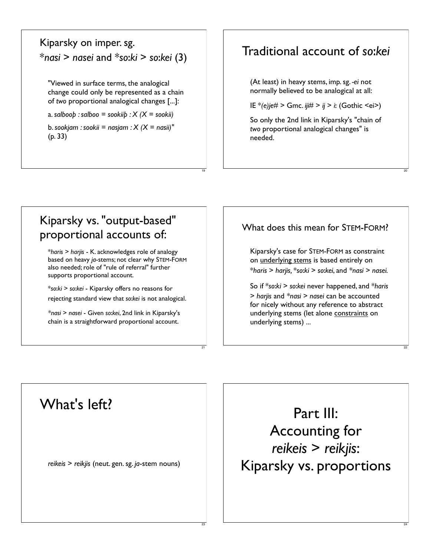### Kiparsky on imper. sg. \**nasi* > *nasei* and \**so*!*ki* > *so*!*kei* (3)

"Viewed in surface terms, the analogical change could only be represented as a chain of *two* proportional analogical changes [...]:

a. salboo*b* : salboo = sookii $\mathbf{b}$  :  $\mathbf{X}$  ( $\mathbf{X}$  = sookii)

b. *sookjam : sookii = nasjam : X (X = nasii)"* (p. 33)

19

21

23

### Traditional account of *so*!*kei*

(At least) in heavy stems, imp. sg. *-ei* not normally believed to be analogical at all:

IE \**(e)je#* > Gmc. *iji#* > *ij* > *i*! (Gothic <ei>)

So only the 2nd link in Kiparsky's "chain of *two* proportional analogical changes" is needed.

20

22

24

### Kiparsky vs. "output-based" proportional accounts of:

\**haris* > *harjis* - K. acknowledges role of analogy based on heavy *ja*-stems; not clear why STEM-FORM also needed; role of "rule of referral" further supports proportional account.

\**so*!*ki* > *so*!*kei* - Kiparsky offers no reasons for rejecting standard view that *so*!*kei* is not analogical.

*\*nasi* > *nasei* - Given *so*!*kei*, 2nd link in Kiparsky's chain is a straightforward proportional account.

### What does this mean for STEM-FORM?

Kiparsky's case for STEM-FORM as constraint on underlying stems is based entirely on \**haris* > *harjis,* \**so*!*ki* > *so*!*kei*, and *\*nasi > nasei.*

So if \**so*!*ki* > *so*!*kei* never happened, and \**haris* > *harjis* and *\*nasi > nasei* can be accounted for nicely without any reference to abstract underlying stems (let alone constraints on underlying stems) ...

What's left?

*reikeis* > *reikjis* (neut. gen. sg. *ja*-stem nouns)

Part III: Accounting for *reikeis* > *reikjis*: Kiparsky vs. proportions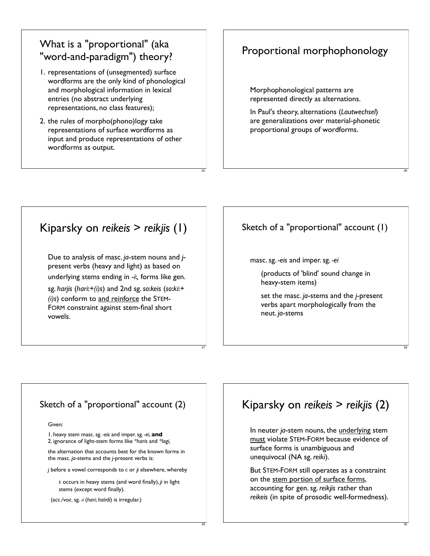### What is a "proportional" (aka "word-and-paradigm") theory?

- 1. representations of (unsegmented) surface wordforms are the only kind of phonological and morphological information in lexical entries (no abstract underlying representations, no class features);
- 2. the rules of morpho(phono)logy take representations of surface wordforms as input and produce representations of other wordforms as output.

25

27

29

### Proportional morphophonology

Morphophonological patterns are represented directly as alternations.

In Paul's theory, alternations (*Lautwechsel*) are generalizations over material-phonetic proportional groups of wordforms.

26

28

30

### Kiparsky on *reikeis* > *reikjis* (1)

Due to analysis of masc. *ja*-stem nouns and *j*present verbs (heavy and light) as based on underlying stems ending in -*i*!*,* forms like gen.

sg. *harjis* (*hari*!*+(i)s*) and 2nd sg. *so*!*keis* (*so*!*ki*!*+ (i)s*) conform to and reinforce the STEM-FORM constraint against stem-final short vowels.

### Sketch of a "proportional" account (1)

masc. sg. *-eis* and imper. sg. *-ei*

(products of 'blind' sound change in heavy-stem items)

set the masc. *ja*-stems and the *j*-present verbs apart morphologically from the neut. *ja*-stems

#### Sketch of a "proportional" account (2)

Given:

1. heavy stem masc. sg. *-eis* and imper. sg. *-ei*, **and** 2. ignorance of light-stem forms like *\*haris* and *\*lagi,*

the alternation that accounts best for the known forms in the masc. *ja*-stems and the *j*-present verbs is:

*j* before a vowel corresponds to *i*! or *ji* elsewhere, whereby

*i*! occurs in heavy stems (and word finally), *ji* in light stems (except word finally).

(acc./voc. sg. *-i* (*hari*; *haírdi*) is irregular.)

### Kiparsky on *reikeis* > *reikjis* (2)

In neuter *ja*-stem nouns, the underlying stem must violate STEM-FORM because evidence of surface forms is unambiguous and unequivocal (NA sg. *reiki*).

But STEM-FORM still operates as a constraint on the stem portion of surface forms, accounting for gen. sg. *reikjis* rather than *reikeis* (in spite of prosodic well-formedness).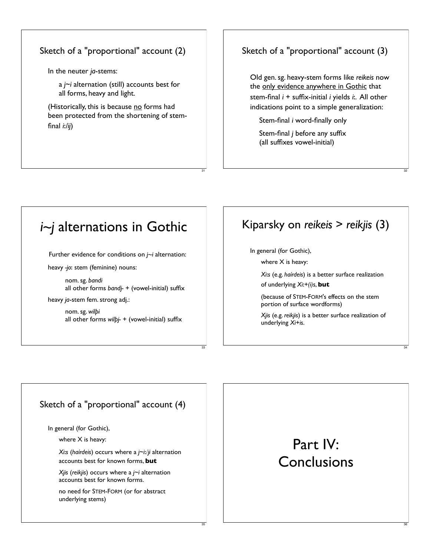#### Sketch of a "proportional" account (2)

In the neuter *ja*-stems:

a *j*~*i* alternation (still) accounts best for all forms, heavy and light.

(Historically, this is because no forms had been protected from the shortening of stemfinal *i*!*/ij*)

### Sketch of a "proportional" account (3)

Old gen. sg. heavy-stem forms like *reikeis* now the only evidence anywhere in Gothic that stem-final *i* + suffix-initial *i* yields *i*!. All other indications point to a simple generalization:

32

34

36

Stem-final *i* word-finally only

Stem-final *j* before any suffix (all suffixes vowel-initial)

## *i~j* alternations in Gothic

Further evidence for conditions on *j~i* alternation:

heavy *-jo*! stem (feminine) nouns:

nom. sg. *bandi* all other forms *bandj-* + (vowel-initial) suffix

heavy *ja*-stem fem. strong adj.:

nom. sg. *wil!i* all other forms *wilbi*- + (vowel-initial) suffix

### Kiparsky on *reikeis* > *reikjis* (3)

In general (for Gothic),

31

33

35

where X is heavy:

*Xi*!*s* (e.g. *haírdeis*) is a better surface realization of underlying *Xi*!*+(i)s*, **but**

(because of STEM-FORM's effects on the stem portion of surface wordforms)

*Xjis* (e.g. *reikjis*) is a better surface realization of underlying *Xi+is*.

#### Sketch of a "proportional" account (4)

In general (for Gothic),

where X is heavy:

*Xi*!*s* (*haírdeis*) occurs where a *j*~*i*!/*ji* alternation accounts best for known forms, **but**

*Xjis* (*reikjis*) occurs where a *j*~*i* alternation accounts best for known forms.

no need for STEM-FORM (or for abstract underlying stems)

# Part IV: **Conclusions**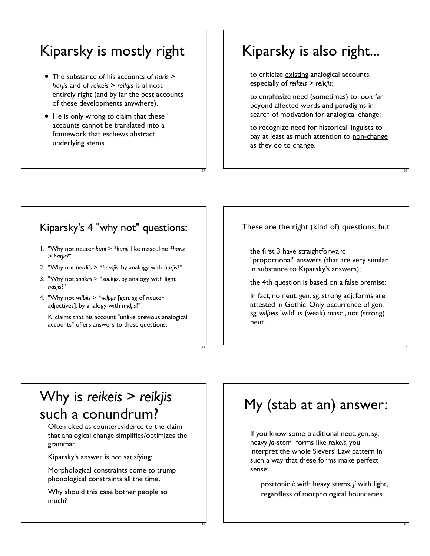# Kiparsky is mostly right

- The substance of his accounts of *haris*<sup>&</sup>gt; *harjis* and of *reikeis* > *reikjis* is almost entirely right (and by far the best accounts of these developments anywhere).
- He is only wrong to claim that these accounts cannot be translated into a framework that eschews abstract underlying stems.

# Kiparsky is also right...

to criticize existing analogical accounts, especially of *reikeis* > *reikjis*;

to emphasize need (sometimes) to look far beyond affected words and paradigms in search of motivation for analogical change;

to recognize need for historical linguists to pay at least as much attention to non-change as they do to change.

38

40

42

### Kiparsky's 4 "why not" questions:

37

39

41

- 1. "Why not neuter *kuni* > *\*kunji*, like masculine *\*haris* > *harjis*?"
- 2. "Why not *herdiis* > *\*herdjis*, by analogy with *harjis*?"
- 3. "Why not *sookiis* > \**sookjis*, by analogy with light *nasjis*?"
- 4. "Why not *wil!iis* > *\*wil!jis* [gen. sg of neuter adjectives], by analogy with *midjis*?"

K. claims that his account "unlike previous analogical accounts" offers answers to these questions.

These are the right (kind of) questions, but

the first 3 have straightforward "proportional" answers (that are very similar in substance to Kiparsky's answers);

the 4th question is based on a false premise:

In fact, no neut. gen. sg. strong adj. forms are attested in Gothic. Only occurrence of gen. sg. *wil!eis* 'wild' is (weak) masc., not (strong) neut.

# Why is *reikeis* > *reikjis* such a conundrum?

Often cited as counterevidence to the claim that analogical change simplifies/optimizes the grammar.

Kiparsky's answer is not satisfying:

Morphological constraints come to trump phonological constraints all the time.

Why should this case bother people so much?

# My (stab at an) answer:

If you know some traditional neut. gen. sg. heavy *ja*-stem forms like *reikeis*, you interpret the whole Sievers' Law pattern in such a way that these forms make perfect sense:

posttonic *i*! with heavy stems, *ji* with light, regardless of morphological boundaries